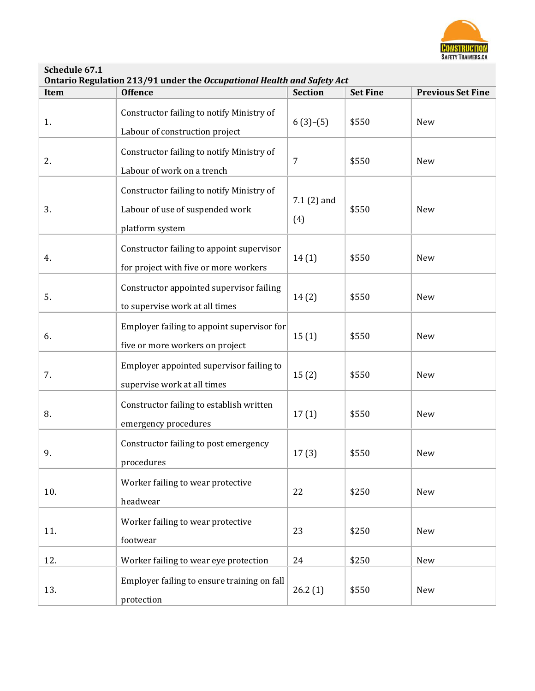

**Schedule 67.1**

|  | Ontario Regulation 213/91 under the Occupational Health and Safety Act |  |
|--|------------------------------------------------------------------------|--|
|--|------------------------------------------------------------------------|--|

| Item | <b>Offence</b>                                                                                  | <b>Section</b>      | <b>Set Fine</b> | <b>Previous Set Fine</b> |
|------|-------------------------------------------------------------------------------------------------|---------------------|-----------------|--------------------------|
| 1.   | Constructor failing to notify Ministry of<br>Labour of construction project                     | $6(3)-(5)$          | \$550           | New                      |
| 2.   | Constructor failing to notify Ministry of<br>Labour of work on a trench                         | 7                   | \$550           | New                      |
| 3.   | Constructor failing to notify Ministry of<br>Labour of use of suspended work<br>platform system | $7.1(2)$ and<br>(4) | \$550           | New                      |
| 4.   | Constructor failing to appoint supervisor<br>for project with five or more workers              | 14(1)               | \$550           | New                      |
| 5.   | Constructor appointed supervisor failing<br>to supervise work at all times                      | 14(2)               | \$550           | New                      |
| 6.   | Employer failing to appoint supervisor for<br>five or more workers on project                   | 15(1)               | \$550           | New                      |
| 7.   | Employer appointed supervisor failing to<br>supervise work at all times                         | 15(2)               | \$550           | New                      |
| 8.   | Constructor failing to establish written<br>emergency procedures                                | 17(1)               | \$550           | New                      |
| 9.   | Constructor failing to post emergency<br>procedures                                             | 17(3)               | \$550           | New                      |
| 10.  | Worker failing to wear protective<br>headwear                                                   | 22                  | \$250           | New                      |
| 11.  | Worker failing to wear protective<br>footwear                                                   | 23                  | \$250           | New                      |
| 12.  | Worker failing to wear eye protection                                                           | 24                  | \$250           | New                      |
| 13.  | Employer failing to ensure training on fall<br>protection                                       | 26.2(1)             | \$550           | New                      |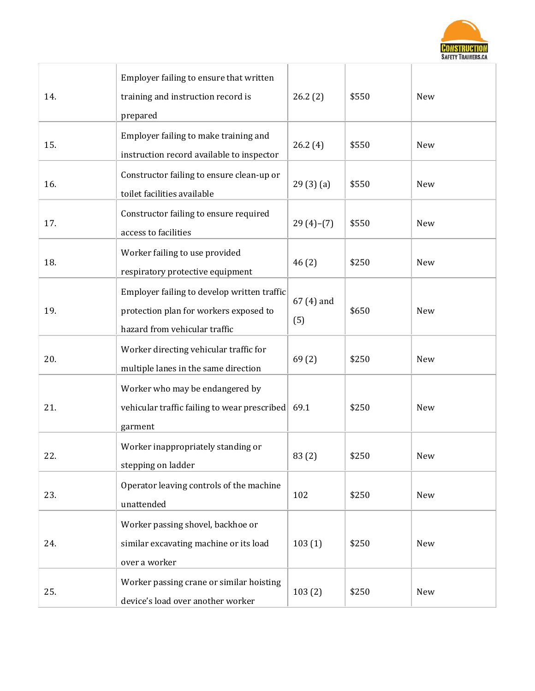

| 14. | Employer failing to ensure that written<br>training and instruction record is<br>prepared                              | 26.2(2)           | \$550 | <b>New</b> |
|-----|------------------------------------------------------------------------------------------------------------------------|-------------------|-------|------------|
| 15. | Employer failing to make training and<br>instruction record available to inspector                                     | 26.2(4)           | \$550 | New        |
| 16. | Constructor failing to ensure clean-up or<br>toilet facilities available                                               | 29(3)(a)          | \$550 | <b>New</b> |
| 17. | Constructor failing to ensure required<br>access to facilities                                                         | $29(4)-(7)$       | \$550 | New        |
| 18. | Worker failing to use provided<br>respiratory protective equipment                                                     | 46(2)             | \$250 | New        |
| 19. | Employer failing to develop written traffic<br>protection plan for workers exposed to<br>hazard from vehicular traffic | 67 (4) and<br>(5) | \$650 | <b>New</b> |
| 20. | Worker directing vehicular traffic for<br>multiple lanes in the same direction                                         | 69(2)             | \$250 | New        |
| 21. | Worker who may be endangered by<br>vehicular traffic failing to wear prescribed<br>garment                             | 69.1              | \$250 | <b>New</b> |
| 22. | Worker inappropriately standing or<br>stepping on ladder                                                               | 83(2)             | \$250 | New        |
| 23. | Operator leaving controls of the machine<br>unattended                                                                 | 102               | \$250 | New        |
| 24. | Worker passing shovel, backhoe or<br>similar excavating machine or its load<br>over a worker                           | 103(1)            | \$250 | New        |
| 25. | Worker passing crane or similar hoisting<br>device's load over another worker                                          | 103(2)            | \$250 | New        |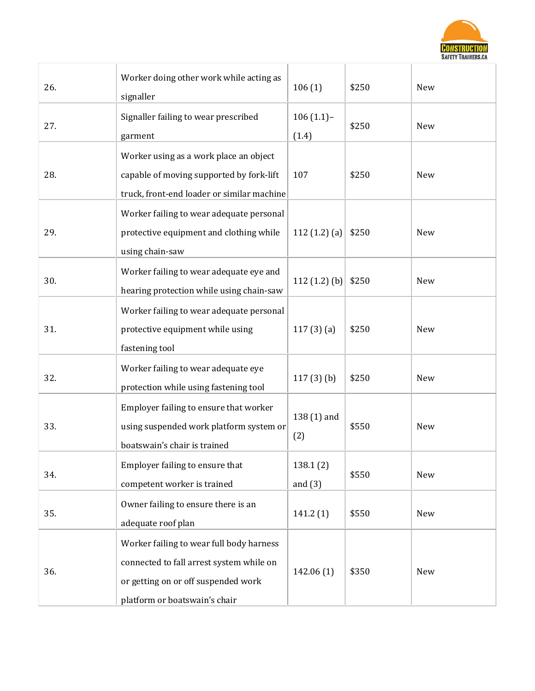

ä

| 26. | Worker doing other work while acting as<br>signaller                                                                                                         | 106(1)                | \$250 | New        |
|-----|--------------------------------------------------------------------------------------------------------------------------------------------------------------|-----------------------|-------|------------|
| 27. | Signaller failing to wear prescribed<br>garment                                                                                                              | $106(1.1)$ -<br>(1.4) | \$250 | New        |
| 28. | Worker using as a work place an object<br>capable of moving supported by fork-lift<br>truck, front-end loader or similar machine                             | 107                   | \$250 | <b>New</b> |
| 29. | Worker failing to wear adequate personal<br>protective equipment and clothing while<br>using chain-saw                                                       | 112 $(1.2)$ $(a)$     | \$250 | <b>New</b> |
| 30. | Worker failing to wear adequate eye and<br>hearing protection while using chain-saw                                                                          | 112 $(1.2)$ $(b)$     | \$250 | New        |
| 31. | Worker failing to wear adequate personal<br>protective equipment while using<br>fastening tool                                                               | 117(3)(a)             | \$250 | New        |
| 32. | Worker failing to wear adequate eye<br>protection while using fastening tool                                                                                 | $117(3)$ (b)          | \$250 | New        |
| 33. | Employer failing to ensure that worker<br>using suspended work platform system or<br>boatswain's chair is trained                                            | 138 (1) and<br>(2)    | \$550 | <b>New</b> |
| 34. | Employer failing to ensure that<br>competent worker is trained                                                                                               | 138.1(2)<br>and $(3)$ | \$550 | New        |
| 35. | Owner failing to ensure there is an<br>adequate roof plan                                                                                                    | 141.2(1)              | \$550 | New        |
| 36. | Worker failing to wear full body harness<br>connected to fall arrest system while on<br>or getting on or off suspended work<br>platform or boatswain's chair | 142.06(1)             | \$350 | New        |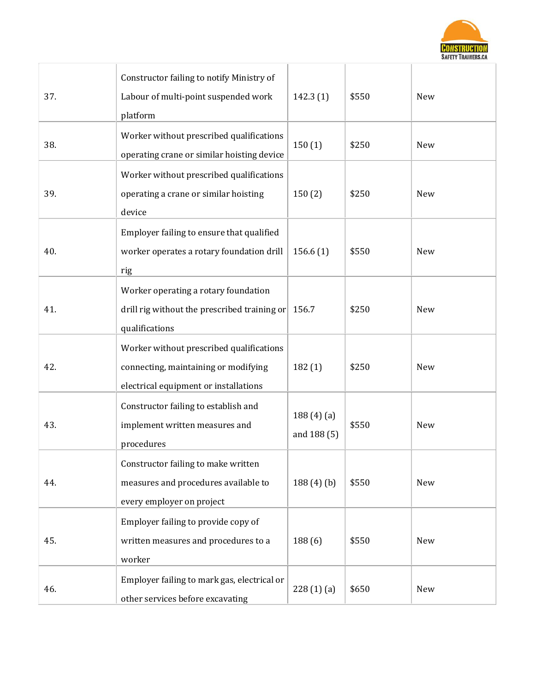

| 37. | Constructor failing to notify Ministry of<br>Labour of multi-point suspended work<br>platform                             | 142.3(1)                 | \$550 | New |
|-----|---------------------------------------------------------------------------------------------------------------------------|--------------------------|-------|-----|
| 38. | Worker without prescribed qualifications<br>operating crane or similar hoisting device                                    | 150(1)                   | \$250 | New |
| 39. | Worker without prescribed qualifications<br>operating a crane or similar hoisting<br>device                               | 150(2)                   | \$250 | New |
| 40. | Employer failing to ensure that qualified<br>worker operates a rotary foundation drill<br>rig                             | 156.6(1)                 | \$550 | New |
| 41. | Worker operating a rotary foundation<br>drill rig without the prescribed training or<br>qualifications                    | 156.7                    | \$250 | New |
| 42. | Worker without prescribed qualifications<br>connecting, maintaining or modifying<br>electrical equipment or installations | 182(1)                   | \$250 | New |
| 43. | Constructor failing to establish and<br>implement written measures and<br>procedures                                      | 188(4)(a)<br>and 188 (5) | \$550 | New |
| 44. | Constructor failing to make written<br>measures and procedures available to<br>every employer on project                  | 188(4)(b)                | \$550 | New |
| 45. | Employer failing to provide copy of<br>written measures and procedures to a<br>worker                                     | 188 (6)                  | \$550 | New |
| 46. | Employer failing to mark gas, electrical or<br>other services before excavating                                           | 228(1)(a)                | \$650 | New |